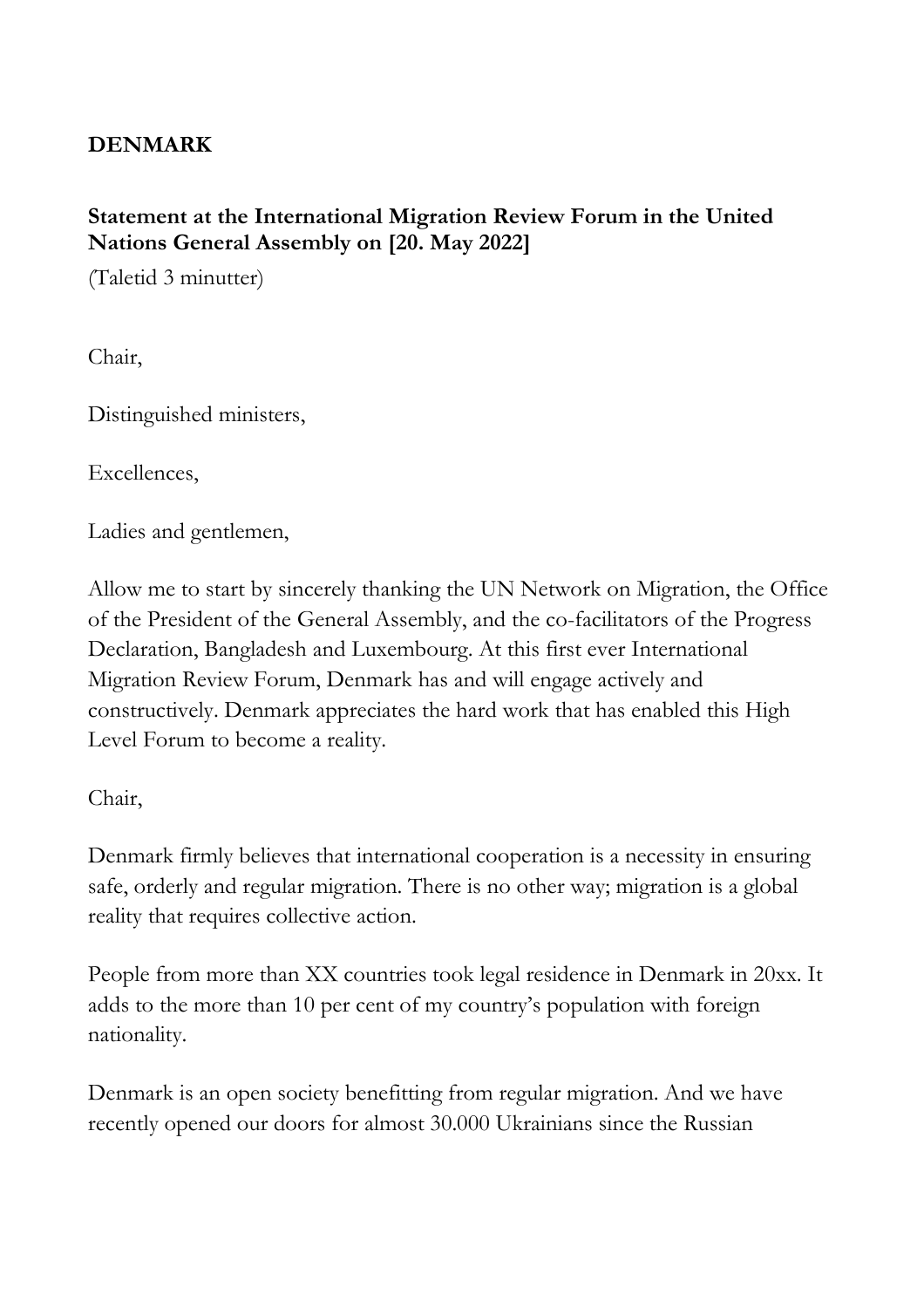## **DENMARK**

## **Statement at the International Migration Review Forum in the United Nations General Assembly on [20. May 2022]**

(Taletid 3 minutter)

Chair,

Distinguished ministers,

Excellences,

Ladies and gentlemen,

Allow me to start by sincerely thanking the UN Network on Migration, the Office of the President of the General Assembly, and the co-facilitators of the Progress Declaration, Bangladesh and Luxembourg. At this first ever International Migration Review Forum, Denmark has and will engage actively and constructively. Denmark appreciates the hard work that has enabled this High Level Forum to become a reality.

## Chair,

Denmark firmly believes that international cooperation is a necessity in ensuring safe, orderly and regular migration. There is no other way; migration is a global reality that requires collective action.

People from more than XX countries took legal residence in Denmark in 20xx. It adds to the more than 10 per cent of my country's population with foreign nationality.

Denmark is an open society benefitting from regular migration. And we have recently opened our doors for almost 30.000 Ukrainians since the Russian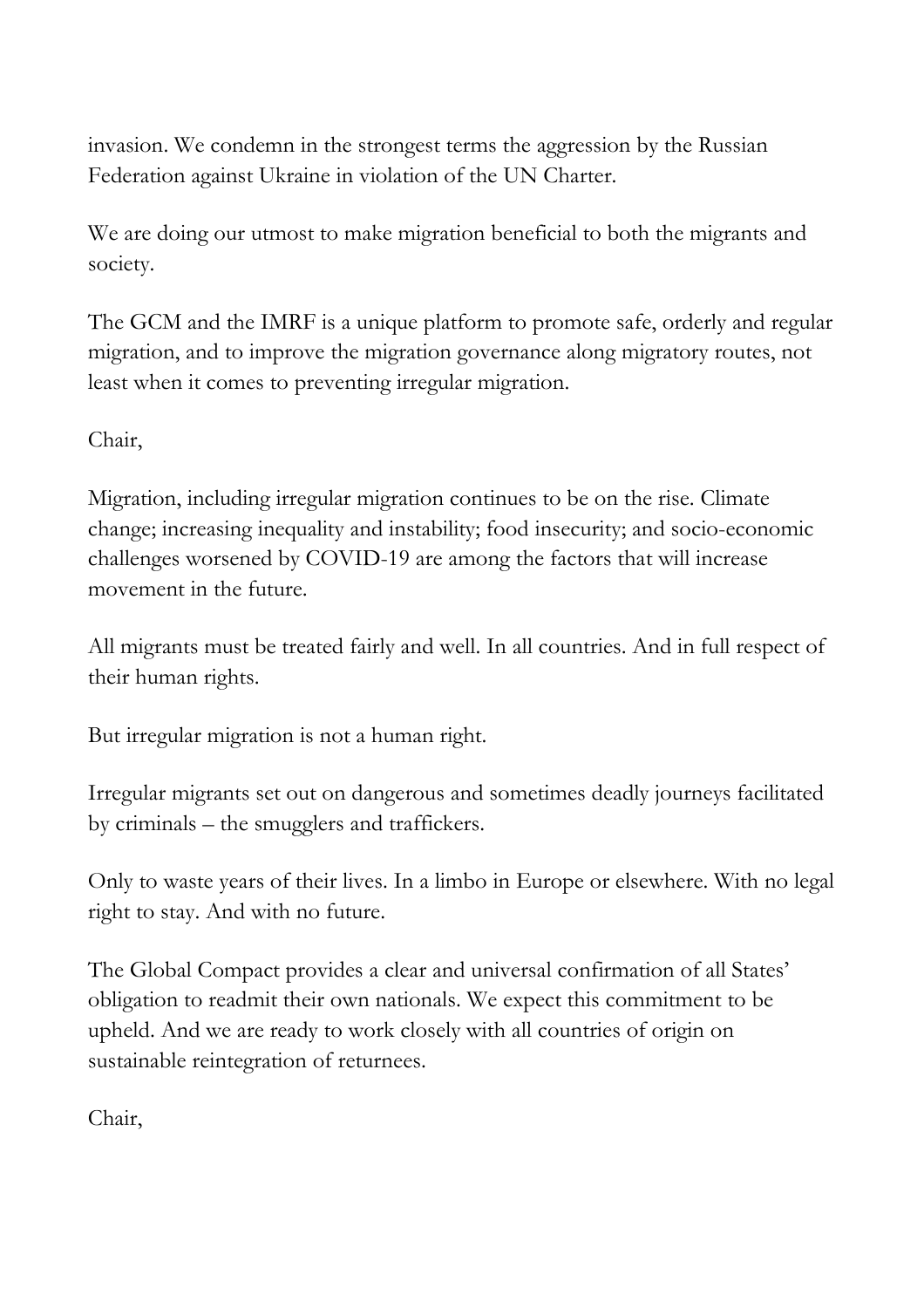invasion. We condemn in the strongest terms the aggression by the Russian Federation against Ukraine in violation of the UN Charter.

We are doing our utmost to make migration beneficial to both the migrants and society.

The GCM and the IMRF is a unique platform to promote safe, orderly and regular migration, and to improve the migration governance along migratory routes, not least when it comes to preventing irregular migration.

Chair,

Migration, including irregular migration continues to be on the rise. Climate change; increasing inequality and instability; food insecurity; and socio-economic challenges worsened by COVID-19 are among the factors that will increase movement in the future.

All migrants must be treated fairly and well. In all countries. And in full respect of their human rights.

But irregular migration is not a human right.

Irregular migrants set out on dangerous and sometimes deadly journeys facilitated by criminals – the smugglers and traffickers.

Only to waste years of their lives. In a limbo in Europe or elsewhere. With no legal right to stay. And with no future.

The Global Compact provides a clear and universal confirmation of all States' obligation to readmit their own nationals. We expect this commitment to be upheld. And we are ready to work closely with all countries of origin on sustainable reintegration of returnees.

Chair,